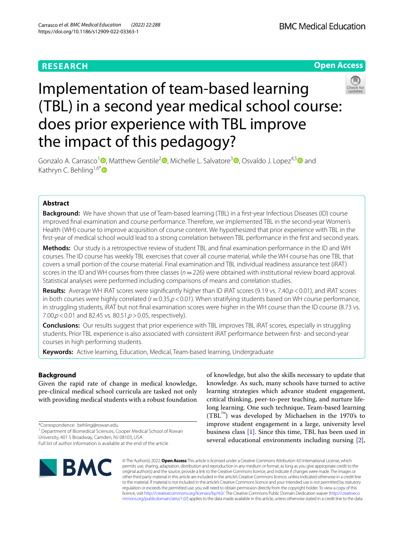# **RESEARCH**



# Implementation of team-based learning (TBL) in a second year medical school course: does prior experience with TBL improve the impact of this pedagogy?



Gonzalo A. Carrasco<sup>1</sup> [,](https://orcid.org/0000-0001-5553-4251) Matthew Gentile<sup>2</sup> [,](https://orcid.org/0000-0001-8566-0646) Michelle L. Salvatore<sup>[3](https://orcid.org/0000-0002-5027-4590)</sup> , Osvaldo J. Lopez<sup>4,[5](https://orcid.org/0000-0002-1290-722X)</sup> and Kathryn C. Behling<sup>1,6[\\*](https://orcid.org/0000-0002-6188-2452)</sup>

# **Abstract**

**Background:** We have shown that use of Team-based learning (TBL) in a frst-year Infectious Diseases (ID) course improved fnal examination and course performance. Therefore, we implemented TBL in the second-year Women's Health (WH) course to improve acquisition of course content. We hypothesized that prior experience with TBL in the frst-year of medical school would lead to a strong correlation between TBL performance in the frst and second years.

**Methods:** Our study is a retrospective review of student TBL and fnal examination performance in the ID and WH courses. The ID course has weekly TBL exercises that cover all course material, while the WH course has one TBL that covers a small portion of the course material. Final examination and TBL individual readiness assurance test (iRAT) scores in the ID and WH courses from three classes (*n*=226) were obtained with institutional review board approval. Statistical analyses were performed including comparisons of means and correlation studies.

**Results:** Average WH iRAT scores were signifcantly higher than ID iRAT scores (9.19 vs. 7.40,*p*<0.01), and iRAT scores in both courses were highly correlated ( $r$ =0.35, $p$ <0.01). When stratifying students based on WH course performance, in struggling students, iRAT but not fnal examination scores were higher in the WH course than the ID course (8.73 vs. 7.00,*p*<0.01 and 82.45 vs. 80.51,*p*>0.05, respectively).

**Conclusions:** Our results suggest that prior experience with TBL improves TBL iRAT scores, especially in struggling students. Prior TBL experience is also associated with consistent iRAT performance between frst- and second-year courses in high performing students.

**Keywords:** Active learning, Education, Medical, Team-based learning, Undergraduate

# **Background**

Given the rapid rate of change in medical knowledge, pre-clinical medical school curricula are tasked not only with providing medical students with a robust foundation

\*Correspondence: behling@rowan.edu

Full list of author information is available at the end of the article



of knowledge, but also the skills necessary to update that knowledge. As such, many schools have turned to active learning strategies which advance student engagement, critical thinking, peer-to-peer teaching, and nurture lifelong learning. One such technique, Team-based learning  $(TBL<sup>TM</sup>)$  was developed by Michaelsen in the 1970's to improve student engagement in a large, university level business class [[1\]](#page-5-0). Since this time, TBL has been used in several educational environments including nursing [\[2](#page-5-1)],

© The Author(s) 2022. **Open Access** This article is licensed under a Creative Commons Attribution 4.0 International License, which permits use, sharing, adaptation, distribution and reproduction in any medium or format, as long as you give appropriate credit to the original author(s) and the source, provide a link to the Creative Commons licence, and indicate if changes were made. The images or other third party material in this article are included in the article's Creative Commons licence, unless indicated otherwise in a credit line to the material. If material is not included in the article's Creative Commons licence and your intended use is not permitted by statutory regulation or exceeds the permitted use, you will need to obtain permission directly from the copyright holder. To view a copy of this licence, visit [http://creativecommons.org/licenses/by/4.0/.](http://creativecommons.org/licenses/by/4.0/) The Creative Commons Public Domain Dedication waiver ([http://creativeco](http://creativecommons.org/publicdomain/zero/1.0/) [mmons.org/publicdomain/zero/1.0/](http://creativecommons.org/publicdomain/zero/1.0/)) applies to the data made available in this article, unless otherwise stated in a credit line to the data.

<sup>&</sup>lt;sup>1</sup> Department of Biomedical Sciences, Cooper Medical School of Rowan University, 401 S Broadway, Camden, NJ 08103, USA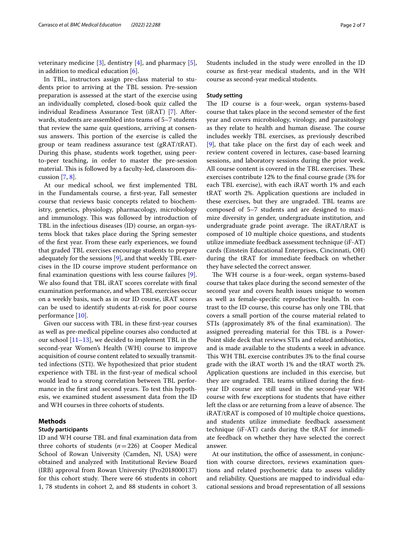veterinary medicine  $[3]$  $[3]$ , dentistry  $[4]$  $[4]$  $[4]$ , and pharmacy  $[5]$  $[5]$ , in addition to medical education [[6\]](#page-5-5).

In TBL, instructors assign pre-class material to students prior to arriving at the TBL session. Pre-session preparation is assessed at the start of the exercise using an individually completed, closed-book quiz called the individual Readiness Assurance Test (iRAT) [\[7](#page-5-6)]. Afterwards, students are assembled into teams of 5–7 students that review the same quiz questions, arriving at consensus answers. This portion of the exercise is called the group or team readiness assurance test (gRAT/tRAT). During this phase, students work together, using peerto-peer teaching, in order to master the pre-session material. This is followed by a faculty-led, classroom discussion  $[7, 8]$  $[7, 8]$  $[7, 8]$  $[7, 8]$ .

At our medical school, we frst implemented TBL in the Fundamentals course, a frst-year, Fall semester course that reviews basic concepts related to biochemistry, genetics, physiology, pharmacology, microbiology and immunology. This was followed by introduction of TBL in the infectious diseases (ID) course, an organ-systems block that takes place during the Spring semester of the frst year. From these early experiences, we found that graded TBL exercises encourage students to prepare adequately for the sessions [[9\]](#page-5-8), and that weekly TBL exercises in the ID course improve student performance on fnal examination questions with less course failures [\[9](#page-5-8)]. We also found that TBL iRAT scores correlate with fnal examination performance, and when TBL exercises occur on a weekly basis, such as in our ID course, iRAT scores can be used to identify students at-risk for poor course performance [[10\]](#page-5-9).

Given our success with TBL in these frst-year courses as well as pre-medical pipeline courses also conducted at our school  $[11–13]$  $[11–13]$  $[11–13]$ , we decided to implement TBL in the second-year Women's Health (WH) course to improve acquisition of course content related to sexually transmitted infections (STI). We hypothesized that prior student experience with TBL in the frst-year of medical school would lead to a strong correlation between TBL performance in the frst and second years. To test this hypothesis, we examined student assessment data from the ID and WH courses in three cohorts of students.

# **Methods**

# **Study participants**

ID and WH course TBL and fnal examination data from three cohorts of students  $(n=226)$  at Cooper Medical School of Rowan University (Camden, NJ, USA) were obtained and analyzed with Institutional Review Board (IRB) approval from Rowan University (Pro2018000137) for this cohort study. There were 66 students in cohort 1, 78 students in cohort 2, and 88 students in cohort 3. Students included in the study were enrolled in the ID course as frst-year medical students, and in the WH course as second-year medical students.

# **Study setting**

The ID course is a four-week, organ systems-based course that takes place in the second semester of the frst year and covers microbiology, virology, and parasitology as they relate to health and human disease. The course includes weekly TBL exercises, as previously described [[9\]](#page-5-8), that take place on the frst day of each week and review content covered in lectures, case-based learning sessions, and laboratory sessions during the prior week. All course content is covered in the TBL exercises. These exercises contribute 12% to the fnal course grade (3% for each TBL exercise), with each iRAT worth 1% and each tRAT worth 2%. Application questions are included in these exercises, but they are ungraded. TBL teams are composed of 5–7 students and are designed to maximize diversity in gender, undergraduate institution, and undergraduate grade point average. The iRAT/tRAT is composed of 10 multiple choice questions, and students utilize immediate feedback assessment technique (iF-AT) cards (Einstein Educational Enterprises, Cincinnati, OH) during the tRAT for immediate feedback on whether they have selected the correct answer.

The WH course is a four-week, organ systems-based course that takes place during the second semester of the second year and covers health issues unique to women as well as female-specifc reproductive health. In contrast to the ID course, this course has only one TBL that covers a small portion of the course material related to STIs (approximately 8% of the final examination). The assigned prereading material for this TBL is a Power-Point slide deck that reviews STIs and related antibiotics, and is made available to the students a week in advance. This WH TBL exercise contributes 3% to the final course grade with the iRAT worth 1% and the tRAT worth 2%. Application questions are included in this exercise, but they are ungraded. TBL teams utilized during the frstyear ID course are still used in the second-year WH course with few exceptions for students that have either left the class or are returning from a leave of absence. The iRAT/tRAT is composed of 10 multiple choice questions, and students utilize immediate feedback assessment technique (iF-AT) cards during the tRAT for immediate feedback on whether they have selected the correct answer.

At our institution, the office of assessment, in conjunction with course directors, reviews examination questions and related psychometric data to assess validity and reliability. Questions are mapped to individual educational sessions and broad representation of all sessions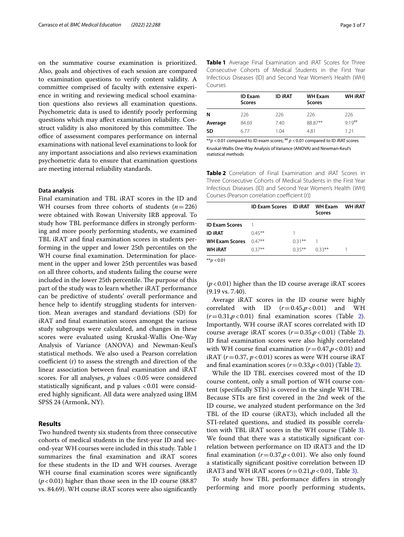on the summative course examination is prioritized. Also, goals and objectives of each session are compared to examination questions to verify content validity. A committee comprised of faculty with extensive experience in writing and reviewing medical school examination questions also reviews all examination questions. Psychometric data is used to identify poorly performing questions which may afect examination reliability. Construct validity is also monitored by this committee. The office of assessment compares performance on internal examinations with national level examinations to look for any important associations and also reviews examination psychometric data to ensure that examination questions are meeting internal reliability standards.

## **Data analysis**

Final examination and TBL iRAT scores in the ID and WH courses from three cohorts of students (*n*=226) were obtained with Rowan University IRB approval. To study how TBL performance difers in strongly performing and more poorly performing students, we examined TBL iRAT and fnal examination scores in students performing in the upper and lower 25th percentiles on the WH course fnal examination. Determination for placement in the upper and lower 25th percentiles was based on all three cohorts, and students failing the course were included in the lower 25th percentile. The purpose of this part of the study was to learn whether iRAT performance can be predictive of students' overall performance and hence help to identify struggling students for intervention. Mean averages and standard deviations (SD) for iRAT and fnal examination scores amongst the various study subgroups were calculated, and changes in these scores were evaluated using Kruskal-Wallis One-Way Analysis of Variance (ANOVA) and Newman-Keul's statistical methods. We also used a Pearson correlation coefficient (r) to assess the strength and direction of the linear association between fnal examination and iRAT scores. For all analyses, *p* values <0.05 were considered statistically significant, and  $p$  values  $< 0.01$  were considered highly signifcant. All data were analyzed using IBM SPSS 24 (Armonk, NY).

## **Results**

Two hundred twenty six students from three consecutive cohorts of medical students in the frst-year ID and second-year WH courses were included in this study. Table [1](#page-2-0) summarizes the fnal examination and iRAT scores for these students in the ID and WH courses. Average WH course final examination scores were significantly (*p*<0.01) higher than those seen in the ID course (88.87 vs. 84.69). WH course iRAT scores were also signifcantly <span id="page-2-0"></span>**Table 1** Average Final Examination and iRAT Scores for Three Consecutive Cohorts of Medical Students in the First Year Infectious Diseases (ID) and Second Year Women's Health (WH) Courses

|         | <b>ID Exam</b><br><b>Scores</b> | <b>ID IRAT</b> | <b>WH Exam</b><br><b>Scores</b> | <b>WH IRAT</b>      |
|---------|---------------------------------|----------------|---------------------------------|---------------------|
| N       | 226                             | 226            | 226                             | 226                 |
| Average | 84.69                           | 7.40           | 88.87**                         | $919$ <sup>##</sup> |
| SD      | 6 7 7                           | 1.04           | 4.81                            | 1 21                |

 $**p$  <0.01 compared to ID exam scores;  $**p$  <0.01 compared to ID iRAT scores Kruskal-Wallis One-Way Analysis of Variance (ANOVA) and Newman-Keul's statistical methods

<span id="page-2-1"></span>**Table 2** Correlation of Final Examination and iRAT Scores in Three Consecutive Cohorts of Medical Students in the First Year Infectious Diseases (ID) and Second Year Women's Health (WH) Courses (Pearson correlation coefficient (r))

|                                                 | ID Exam Scores ID iRAT WH Exam |           | <b>Scores</b> | <b>WH IRAT</b> |
|-------------------------------------------------|--------------------------------|-----------|---------------|----------------|
| <b>ID Exam Scores</b>                           |                                |           |               |                |
| ID IRAT                                         | $0.45***$                      |           |               |                |
| <b>WH Exam Scores</b>                           | $0.47***$                      | $0.31***$ |               |                |
| WH IRAT                                         | $0.37***$                      | $0.35***$ | $0.33***$     |                |
| $\mathbf{v} \mathbf{v}$ $\mathbf{v} \mathbf{v}$ |                                |           |               |                |

\*\**p* <0.01

 $(p<0.01)$  higher than the ID course average iRAT scores (9.19 vs. 7.40).

Average iRAT scores in the ID course were highly correlated with ID  $(r=0.45, p<0.01)$  and WH (*r*=0.31,*p*<0.01) fnal examination scores (Table [2](#page-2-1)). Importantly, WH course iRAT scores correlated with ID course average iRAT scores  $(r=0.35, p<0.01)$  (Table [2](#page-2-1)). ID fnal examination scores were also highly correlated with WH course final examination  $(r=0.47, p<0.01)$  and iRAT  $(r=0.37, p<0.01)$  scores as were WH course iRAT and final examination scores  $(r=0.33, p<0.01)$  (Table [2\)](#page-2-1).

While the ID TBL exercises covered most of the ID course content, only a small portion of WH course content (specifcally STIs) is covered in the single WH TBL. Because STIs are frst covered in the 2nd week of the ID course, we analyzed student performance on the 3rd TBL of the ID course (iRAT3), which included all the STI-related questions, and studied its possible correlation with TBL iRAT scores in the WH course (Table [3](#page-3-0)). We found that there was a statistically signifcant correlation between performance on ID iRAT3 and the ID final examination  $(r=0.37, p<0.01)$ . We also only found a statistically signifcant positive correlation between ID iRAT3 and WH iRAT scores  $(r=0.21, p<0.01,$  Table [3](#page-3-0)).

To study how TBL performance difers in strongly performing and more poorly performing students,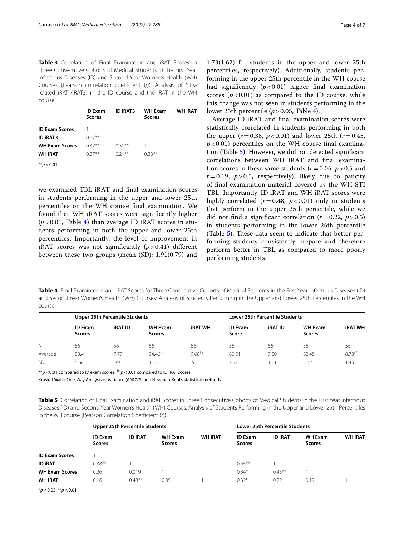<span id="page-3-0"></span>**Table 3** Correlation of Final Examination and iRAT Scores in Three Consecutive Cohorts of Medical Students in the First Year Infectious Diseases (ID) and Second Year Women's Health (WH) Courses (Pearson correlation coefficient (r)): Analysis of STIsrelated iRAT (iRAT3) in the ID course and the iRAT in the WH course

|                       | <b>ID Exam</b><br><b>Scores</b> | <b>ID IRAT3</b> | <b>WH Exam</b><br><b>Scores</b> | <b>WH IRAT</b> |
|-----------------------|---------------------------------|-----------------|---------------------------------|----------------|
| <b>ID Exam Scores</b> |                                 |                 |                                 |                |
| <b>ID IRAT3</b>       | $0.37***$                       |                 |                                 |                |
| <b>WH Exam Scores</b> | $0.47**$                        | $0.31***$       |                                 |                |
| <b>WH IRAT</b>        | $0.37***$                       | $0.21***$       | $0.33***$                       |                |
| ** $p < 0.01$         |                                 |                 |                                 |                |

we examined TBL iRAT and fnal examination scores in students performing in the upper and lower 25th percentiles on the WH course fnal examination. We found that WH iRAT scores were signifcantly higher (*p* < 0.01, Table [4](#page-3-1)) than average ID iRAT scores in students performing in both the upper and lower 25th percentiles. Importantly, the level of improvement in iRAT scores was not significantly  $(p > 0.41)$  different between these two groups (mean (SD): 1.91(0.79) and

1.73(1.62) for students in the upper and lower 25th percentiles, respectively). Additionally, students performing in the upper 25th percentile in the WH course had signifcantly (*p* < 0.01) higher fnal examination scores  $(p < 0.01)$  as compared to the ID course, while this change was not seen in students performing in the lower 25th percentile  $(p > 0.05,$  Table [4](#page-3-1)).

Average ID iRAT and fnal examination scores were statistically correlated in students performing in both the upper  $(r = 0.38, p < 0.01)$  and lower 25th  $(r = 0.45,$  $p$  < 0.01) percentiles on the WH course final examination (Table [5](#page-3-2)). However, we did not detected signifcant correlations between WH iRAT and fnal examination scores in these same students  $(r=0.05, p>0.5$  and  $r=0.19$ ,  $p>0.5$ , respectively), likely due to paucity of fnal examination material covered by the WH STI TBL. Importantly, ID iRAT and WH iRAT scores were highly correlated  $(r=0.48, p<0.01)$  only in students that perform in the upper 25th percentile, while we did not find a significant correlation  $(r=0.22, p>0.5)$ in students performing in the lower 25th percentile (Table  $5$ ). These data seem to indicate that better performing students consistently prepare and therefore perform better in TBL as compared to more poorly performing students.

<span id="page-3-1"></span>**Table 4** Final Examination and iRAT Scores for Three Consecutive Cohorts of Medical Students in the First Year Infectious Diseases (ID) and Second Year Women's Health (WH) Courses: Analysis of Students Performing in the Upper and Lower 25th Percentiles in the WH course

|           | Upper 25th Percentile Students  |                |                                 |                      | <b>Lower 25th Percentile Students</b> |                |                                 |                |
|-----------|---------------------------------|----------------|---------------------------------|----------------------|---------------------------------------|----------------|---------------------------------|----------------|
|           | <b>ID Exam</b><br><b>Scores</b> | <b>IRAT ID</b> | <b>WH Exam</b><br><b>Scores</b> | <b>iRAT WH</b>       | <b>ID Exam</b><br>Score               | <b>iRAT ID</b> | <b>WH Exam</b><br><b>Scores</b> | <b>iRAT WH</b> |
| N         | 56                              | 56             | 56                              | 56                   | 56                                    | 56             | 56                              | 56             |
| Average   | 88.41                           | 7.77           | 94.46**                         | $9.68$ <sup>##</sup> | 80.51                                 | 7.00           | 82.45                           | $8.73***$      |
| <b>SD</b> | 5.66                            | .89            | .53                             | .51                  | 7.51                                  | l.11           | 3.42                            | .45            |

 $*p$  < 0.01 compared to ID exam scores;  $*p$  < 0.01 compared to ID iRAT scores

Kruskal-Wallis One-Way Analysis of Variance (ANOVA) and Newman-Keul's statistical methods

<span id="page-3-2"></span>**Table 5** Correlation of Final Examination and IRAT Scores in Three Consecutive Cohorts of Medical Students in the First Year Infectious Diseases (ID) and Second Year Women's Health (WH) Courses: Analysis of Students Performing in the Upper and Lower 25th Percentiles in the WH course (Pearson Correlation Coefficient (r))

|                       | Upper 25th Percentile Students  |                |                                 |                | <b>Lower 25th Percentile Students</b> |                |                                 |                |
|-----------------------|---------------------------------|----------------|---------------------------------|----------------|---------------------------------------|----------------|---------------------------------|----------------|
|                       | <b>ID Exam</b><br><b>Scores</b> | <b>ID IRAT</b> | <b>WH Exam</b><br><b>Scores</b> | <b>WH IRAT</b> | <b>ID Exam</b><br><b>Scores</b>       | <b>ID IRAT</b> | <b>WH Exam</b><br><b>Scores</b> | <b>WH IRAT</b> |
| <b>ID Exam Scores</b> |                                 |                |                                 |                |                                       |                |                                 |                |
| <b>ID IRAT</b>        | $0.38***$                       |                |                                 |                | $0.45***$                             |                |                                 |                |
| <b>WH Exam Scores</b> | 0.26                            | 0.019          |                                 |                | $0.34*$                               | $0.45***$      |                                 |                |
| <b>WH IRAT</b>        | 0.16                            | $0.48***$      | 0.05                            |                | $0.32*$                               | 0.22           | 0.19                            |                |

\**p* <0.05; \*\**p* <0.01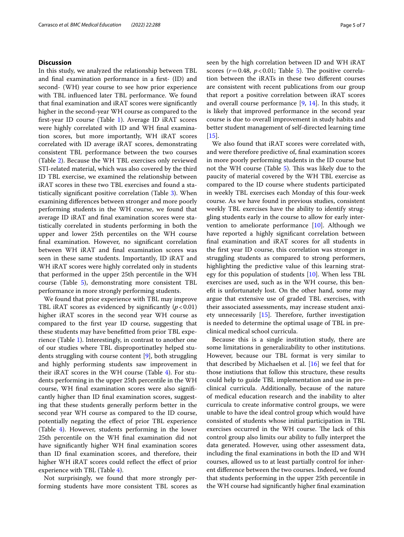# **Discussion**

In this study, we analyzed the relationship between TBL and fnal examination performance in a frst- (ID) and second- (WH) year course to see how prior experience with TBL infuenced later TBL performance. We found that fnal examination and iRAT scores were signifcantly higher in the second-year WH course as compared to the frst-year ID course (Table [1\)](#page-2-0). Average ID iRAT scores were highly correlated with ID and WH fnal examination scores, but more importantly, WH iRAT scores correlated with ID average iRAT scores, demonstrating consistent TBL performance between the two courses (Table [2](#page-2-1)). Because the WH TBL exercises only reviewed STI-related material, which was also covered by the third ID TBL exercise, we examined the relationship between iRAT scores in these two TBL exercises and found a statistically signifcant positive correlation (Table [3\)](#page-3-0). When examining diferences between stronger and more poorly performing students in the WH course, we found that average ID iRAT and fnal examination scores were statistically correlated in students performing in both the upper and lower 25th percentiles on the WH course fnal examination. However, no signifcant correlation between WH iRAT and fnal examination scores was seen in these same students. Importantly, ID iRAT and WH iRAT scores were highly correlated only in students that performed in the upper 25th percentile in the WH course (Table [5](#page-3-2)), demonstrating more consistent TBL performance in more strongly performing students.

We found that prior experience with TBL may improve TBL iRAT scores as evidenced by significantly  $(p<0.01)$ higher iRAT scores in the second year WH course as compared to the frst year ID course, suggesting that these students may have beneftted from prior TBL experience (Table [1](#page-2-0)). Interestingly, in contrast to another one of our studies where TBL disproportinatley helped students struggling with course content [\[9](#page-5-8)], both struggling and highly performing students saw improvement in their iRAT scores in the WH course (Table [4](#page-3-1)). For students performing in the upper 25th percentile in the WH course, WH fnal examination scores were also signifcantly higher than ID fnal examination scores, suggesting that these students generally perform better in the second year WH course as compared to the ID course, potentially negating the efect of prior TBL experience (Table [4](#page-3-1)). However, students performing in the lower 25th percentile on the WH fnal examination did not have signifcantly higher WH fnal examination scores than ID fnal examination scores, and therefore, their higher WH iRAT scores could reflect the effect of prior experience with TBL (Table [4\)](#page-3-1).

Not surprisingly, we found that more strongly performing students have more consistent TBL scores as seen by the high correlation between ID and WH iRAT scores  $(r=0.48, p<0.01;$  Table [5\)](#page-3-2). The positive correlation between the iRATs in these two diferent courses are consistent with recent publications from our group that report a positive correlation between iRAT scores and overall course performance  $[9, 14]$  $[9, 14]$  $[9, 14]$  $[9, 14]$ . In this study, it is likely that improved performance in the second year course is due to overall improvement in study habits and better student management of self-directed learning time  $[15]$  $[15]$ .

We also found that iRAT scores were correlated with, and were therefore predictive of, fnal examination scores in more poorly performing students in the ID course but not the WH course (Table  $5$ ). This was likely due to the paucity of material covered by the WH TBL exercise as compared to the ID course where students participated in weekly TBL exercises each Monday of this four-week course. As we have found in previous studies, consistent weekly TBL exercises have the ability to identify struggling students early in the course to allow for early intervention to ameliorate performance  $[10]$ . Although we have reported a highly signifcant correlation between fnal examination and iRAT scores for all students in the frst year ID course, this correlation was stronger in struggling students as compared to strong performers, highlighting the predictive value of this learning strategy for this population of students [[10](#page-5-9)]. When less TBL exercises are used, such as in the WH course, this beneft is unfortunately lost. On the other hand, some may argue that extensive use of graded TBL exercises, with their associated assessments, may increase student anxiety unnecessarily  $[15]$  $[15]$ . Therefore, further investigation is needed to determine the optimal usage of TBL in preclinical medical school curricula.

Because this is a single institution study, there are some limitations in generalizability to other institutions. However, because our TBL format is very similar to that described by Michaelsen et al. [[16\]](#page-6-0) we feel that for those instiutions that follow this structure, these results could help to guide TBL implementation and use in preclinical curricula. Additionally, because of the nature of medical education research and the inability to alter curricula to create informative control groups, we were unable to have the ideal control group which would have consisted of students whose initial participation in TBL exercises occurred in the WH course. The lack of this control group also limits our ability to fully interpret the data generated. However, using other assessment data, including the fnal examinations in both the ID and WH courses, allowed us to at least partially control for inherent diference between the two courses. Indeed, we found that students performing in the upper 25th percentile in the WH course had signifcantly higher fnal examination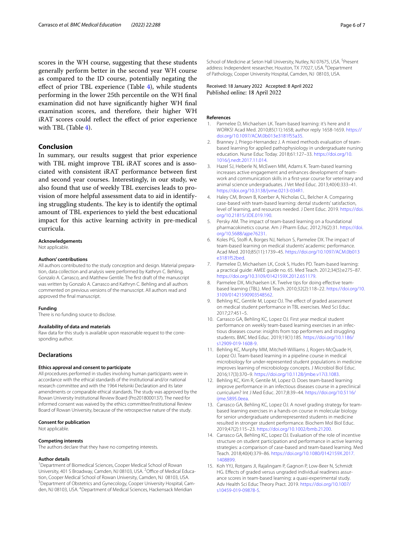scores in the WH course, suggesting that these students generally perform better in the second year WH course as compared to the ID course, potentially negating the efect of prior TBL experience (Table [4\)](#page-3-1), while students performing in the lower 25th percentile on the WH fnal examination did not have signifcantly higher WH fnal examination scores, and therefore, their higher WH iRAT scores could reflect the effect of prior experience with TBL (Table [4](#page-3-1)).

# **Conclusion**

In summary, our results suggest that prior experience with TBL might improve TBL iRAT scores and is associated with consistent iRAT performance between frst and second year courses. Interestingly, in our study, we also found that use of weekly TBL exercises leads to provision of more helpful assessment data to aid in identifying struggling students. The key is to identify the optimal amount of TBL experiences to yield the best educational impact for this active learning activity in pre-medical curricula.

#### **Acknowledgements**

Not applicable.

#### **Authors' contributions**

All authors contributed to the study conception and design. Material preparation, data collection and analysis were performed by Kathryn C. Behling, Gonzalo A. Carrasco, and Matthew Gentile. The frst draft of the manuscript was written by Gonzalo A. Carrasco and Kathryn C. Behling and all authors commented on previous versions of the manuscript. All authors read and approved the fnal manuscript.

#### **Funding**

There is no funding source to disclose.

#### **Availability of data and materials**

Raw data for this study is available upon reasonable request to the corresponding author.

# **Declarations**

### **Ethics approval and consent to participate**

All procedures performed in studies involving human participants were in accordance with the ethical standards of the institutional and/or national research committee and with the 1964 Helsinki Declaration and its later amendments or comparable ethical standards. The study was approved by the Rowan University Institutional Review Board (Pro2018000137). The need for informed consent was waived by the ethics committee/Institutional Review Board of Rowan University, because of the retrospective nature of the study.

#### **Consent for publication**

Not applicable.

#### **Competing interests**

The authors declare that they have no competing interests.

#### **Author details**

<sup>1</sup> Department of Biomedical Sciences, Cooper Medical School of Rowan University, 401 S Broadway, Camden, NJ 08103, USA. <sup>2</sup> Office of Medical Education, Cooper Medical School of Rowan University, Camden, NJ 08103, USA. <sup>3</sup>Department of Obstetrics and Gynecology, Cooper University Hospital, Camden, NJ 08103, USA. <sup>4</sup> Department of Medical Sciences, Hackensack Meridian

School of Medicine at Seton Hall University, Nutley, NJ 07675, USA.<sup>5</sup> Present address: Independent researcher, Houston, TX 77027, USA. <sup>6</sup>Department of Pathology, Cooper University Hospital, Camden, NJ 08103, USA.

Received: 18 January 2022 Accepted: 8 April 2022 Published online: 18 April 2022

#### **References**

- <span id="page-5-0"></span>1. Parmelee D, Michaelsen LK. Team-based learning: it's here and it WORKS! Acad Med. 2010;85(11):1658; author reply 1658-1659. [https://](https://doi.org/10.1097/ACM.0b013e3181f55a35.) [doi.org/10.1097/ACM.0b013e3181f55a35.](https://doi.org/10.1097/ACM.0b013e3181f55a35.)
- <span id="page-5-1"></span>2. Branney J, Priego-Hernandez J, A mixed methods evaluation of teambased learning for applied pathophysiology in undergraduate nursing education. Nurse Educ Today. 2018;61:127–33. [https://doi.org/10.](https://doi.org/10.1016/j.nedt.2017.11.014) [1016/j.nedt.2017.11.014](https://doi.org/10.1016/j.nedt.2017.11.014).
- <span id="page-5-2"></span>3. Hazel SJ, Heberle N, McEwen MM, Adams K. Team-based learning increases active engagement and enhances development of teamwork and communication skills in a frst-year course for veterinary and animal science undergraduates. J Vet Med Educ. 2013;40(4):333–41. [https://doi.org/10.3138/jvme.0213-034R1.](https://doi.org/10.3138/jvme.0213-034R1)
- <span id="page-5-3"></span>4. Haley CM, Brown B, Koerber A, Nicholas CL, Belcher A. Comparing case-based with team-based learning: dental students' satisfaction, level of learning, and resources needed. J Dent Educ. 2019. [https://doi.](https://doi.org/10.21815/JDE.019.190) [org/10.21815/JDE.019.190](https://doi.org/10.21815/JDE.019.190).
- <span id="page-5-4"></span>5. Persky AM. The impact of team-based learning on a foundational pharmacokinetics course. Am J Pharm Educ. 2012;76(2):31. [https://doi.](https://doi.org/10.5688/ajpe76231) [org/10.5688/ajpe76231.](https://doi.org/10.5688/ajpe76231)
- <span id="page-5-5"></span>6. Koles PG, Stolf A, Borges NJ, Nelson S, Parmelee DX. The impact of team-based learning on medical students' academic performance. Acad Med. 2010;85(11):1739–45. [https://doi.org/10.1097/ACM.0b013](https://doi.org/10.1097/ACM.0b013e3181f52bed) [e3181f52bed](https://doi.org/10.1097/ACM.0b013e3181f52bed).
- <span id="page-5-6"></span>7. Parmelee D, Michaelsen LK, Cook S, Hudes PD. Team-based learning: a practical guide: AMEE guide no. 65. Med Teach. 2012;34(5):e275–87. <https://doi.org/10.3109/0142159X.2012.651179>.
- <span id="page-5-7"></span>8. Parmelee DX, Michaelsen LK. Twelve tips for doing effective teambased learning (TBL). Med Teach. 2010;32(2):118–22. [https://doi.org/10.](https://doi.org/10.3109/01421590903548562) [3109/01421590903548562.](https://doi.org/10.3109/01421590903548562)
- <span id="page-5-8"></span>Behling KC, Gentile M, Lopez OJ. The effect of graded assessment on medical student performance in TBL exercises. Med Sci Educ. 2017;27:451–5.
- <span id="page-5-9"></span>10. Carrasco GA, Behling KC, Lopez OJ. First year medical student performance on weekly team-based learning exercises in an infectious diseases course: insights from top performers and struggling students. BMC Med Educ. 2019;19(1):185. [https://doi.org/10.1186/](https://doi.org/10.1186/s12909-019-1608-9) [s12909-019-1608-9.](https://doi.org/10.1186/s12909-019-1608-9)
- <span id="page-5-10"></span>11. Behling KC, Murphy MM, Mitchell-Williams J, Rogers-McQuade H, Lopez OJ. Team-based learning in a pipeline course in medical microbiology for under-represented student populations in medicine improves learning of microbiology concepts. J Microbiol Biol Educ. 2016;17(3):370–9. [https://doi.org/10.1128/jmbe.v17i3.1083.](https://doi.org/10.1128/jmbe.v17i3.1083)
- 12. Behling KC, Kim R, Gentile M, Lopez O. Does team-based learning improve performance in an infectious diseases course in a preclinical curriculum? Int J Med Educ. 2017;8:39–44. [https://doi.org/10.5116/](https://doi.org/10.5116/ijme.5895.0eea) [ijme.5895.0eea.](https://doi.org/10.5116/ijme.5895.0eea)
- <span id="page-5-11"></span>13. Carrasco GA, Behling KC, Lopez OJ. A novel grading strategy for teambased learning exercises in a hands-on course in molecular biology for senior undergraduate underrepresented students in medicine resulted in stronger student performance. Biochem Mol Biol Educ. 2019;47(2):115–23. <https://doi.org/10.1002/bmb.21200>.
- <span id="page-5-12"></span>14. Carrasco GA, Behling KC, Lopez OJ. Evaluation of the role of incentive structure on student participation and performance in active learning strategies: a comparison of case-based and team-based learning. Med Teach. 2018;40(4):379–86. [https://doi.org/10.1080/0142159X.2017.](https://doi.org/10.1080/0142159X.2017.1408899) [1408899](https://doi.org/10.1080/0142159X.2017.1408899).
- <span id="page-5-13"></span>15. Koh YYJ, Rotgans JI, Rajalingam P, Gagnon P, Low-Beer N, Schmidt HG. Efects of graded versus ungraded individual readiness assurance scores in team-based learning: a quasi-experimental study. Adv Health Sci Educ Theory Pract. 2019. [https://doi.org/10.1007/](https://doi.org/10.1007/s10459-019-09878-5) [s10459-019-09878-5](https://doi.org/10.1007/s10459-019-09878-5).